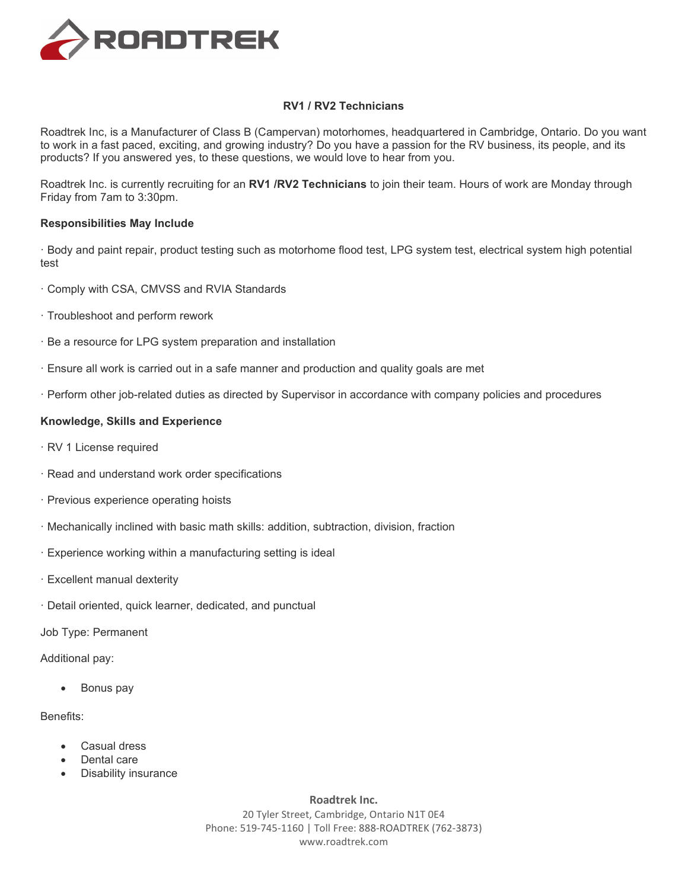

## **RV1 / RV2 Technicians**

Roadtrek Inc, is a Manufacturer of Class B (Campervan) motorhomes, headquartered in Cambridge, Ontario. Do you want to work in a fast paced, exciting, and growing industry? Do you have a passion for the RV business, its people, and its products? If you answered yes, to these questions, we would love to hear from you.

Roadtrek Inc. is currently recruiting for an **RV1 /RV2 Technicians** to join their team. Hours of work are Monday through Friday from 7am to 3:30pm.

## **Responsibilities May Include**

· Body and paint repair, product testing such as motorhome flood test, LPG system test, electrical system high potential test

- · Comply with CSA, CMVSS and RVIA Standards
- · Troubleshoot and perform rework
- · Be a resource for LPG system preparation and installation
- · Ensure all work is carried out in a safe manner and production and quality goals are met
- · Perform other job-related duties as directed by Supervisor in accordance with company policies and procedures

## **Knowledge, Skills and Experience**

- · RV 1 License required
- · Read and understand work order specifications
- · Previous experience operating hoists
- · Mechanically inclined with basic math skills: addition, subtraction, division, fraction
- · Experience working within a manufacturing setting is ideal
- · Excellent manual dexterity
- · Detail oriented, quick learner, dedicated, and punctual

Job Type: Permanent

Additional pay:

• Bonus pay

## Benefits:

- Casual dress
- Dental care
- Disability insurance

**Roadtrek Inc.**

20 Tyler Street, Cambridge, Ontario N1T 0E4 Phone: 519-745-1160 | Toll Free: 888-ROADTREK (762-3873) www.roadtrek.com